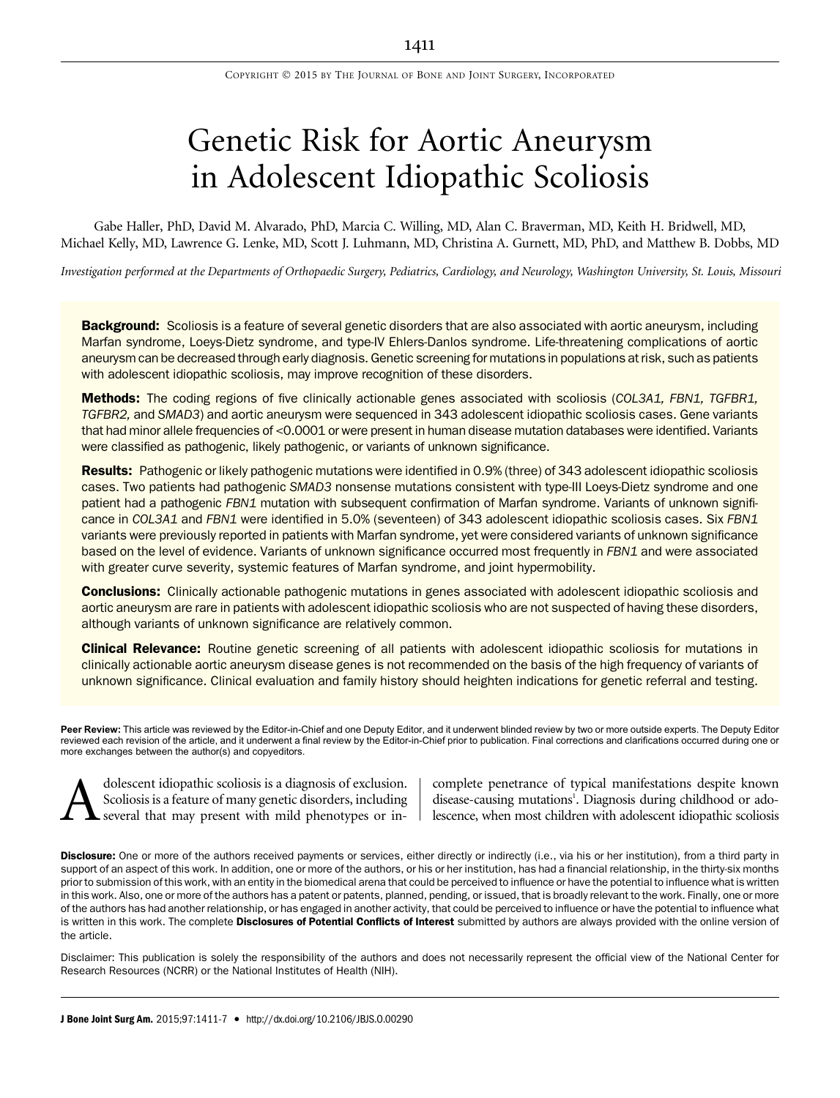# Genetic Risk for Aortic Aneurysm in Adolescent Idiopathic Scoliosis

Gabe Haller, PhD, David M. Alvarado, PhD, Marcia C. Willing, MD, Alan C. Braverman, MD, Keith H. Bridwell, MD, Michael Kelly, MD, Lawrence G. Lenke, MD, Scott J. Luhmann, MD, Christina A. Gurnett, MD, PhD, and Matthew B. Dobbs, MD

Investigation performed at the Departments of Orthopaedic Surgery, Pediatrics, Cardiology, and Neurology, Washington University, St. Louis, Missouri

Background: Scoliosis is a feature of several genetic disorders that are also associated with aortic aneurysm, including Marfan syndrome, Loeys-Dietz syndrome, and type-IV Ehlers-Danlos syndrome. Life-threatening complications of aortic aneurysm can be decreased through early diagnosis. Genetic screening for mutations in populations at risk, such as patients with adolescent idiopathic scoliosis, may improve recognition of these disorders.

**Methods:** The coding regions of five clinically actionable genes associated with scoliosis (COL3A1, FBN1, TGFBR1, TGFBR2, and SMAD3) and aortic aneurysm were sequenced in 343 adolescent idiopathic scoliosis cases. Gene variants that had minor allele frequencies of <0.0001 or were present in human disease mutation databases were identified. Variants were classified as pathogenic, likely pathogenic, or variants of unknown significance.

Results: Pathogenic or likely pathogenic mutations were identified in 0.9% (three) of 343 adolescent idiopathic scoliosis cases. Two patients had pathogenic SMAD3 nonsense mutations consistent with type-III Loeys-Dietz syndrome and one patient had a pathogenic FBN1 mutation with subsequent confirmation of Marfan syndrome. Variants of unknown significance in COL3A1 and FBN1 were identified in 5.0% (seventeen) of 343 adolescent idiopathic scoliosis cases. Six FBN1 variants were previously reported in patients with Marfan syndrome, yet were considered variants of unknown significance based on the level of evidence. Variants of unknown significance occurred most frequently in FBN1 and were associated with greater curve severity, systemic features of Marfan syndrome, and joint hypermobility.

**Conclusions:** Clinically actionable pathogenic mutations in genes associated with adolescent idiopathic scoliosis and aortic aneurysm are rare in patients with adolescent idiopathic scoliosis who are not suspected of having these disorders, although variants of unknown significance are relatively common.

Clinical Relevance: Routine genetic screening of all patients with adolescent idiopathic scoliosis for mutations in clinically actionable aortic aneurysm disease genes is not recommended on the basis of the high frequency of variants of unknown significance. Clinical evaluation and family history should heighten indications for genetic referral and testing.

Peer Review: This article was reviewed by the Editor-in-Chief and one Deputy Editor, and it underwent blinded review by two or more outside experts. The Deputy Editor reviewed each revision of the article, and it underwent a final review by the Editor-in-Chief prior to publication. Final corrections and clarifications occurred during one or more exchanges between the author(s) and copyeditors.

dolescent idiopathic scoliosis is a diagnosis of exclusion.<br>Scoliosis is a feature of many genetic disorders, including<br>several that may present with mild phenotypes or in-Scoliosis is a feature of many genetic disorders, including several that may present with mild phenotypes or in-

complete penetrance of typical manifestations despite known disease-causing mutations<sup>1</sup>. Diagnosis during childhood or adolescence, when most children with adolescent idiopathic scoliosis

Disclosure: One or more of the authors received payments or services, either directly or indirectly (i.e., via his or her institution), from a third party in support of an aspect of this work. In addition, one or more of the authors, or his or her institution, has had a financial relationship, in the thirty-six months prior to submission of this work, with an entity in the biomedical arena that could be perceived to influence or have the potential to influence what is written in this work. Also, one or more of the authors has a patent or patents, planned, pending, or issued, that is broadly relevant to the work. Finally, one or more of the authors has had another relationship, or has engaged in another activity, that could be perceived to influence or have the potential to influence what is written in this work. The complete Disclosures of Potential Conflicts of Interest submitted by authors are always provided with the online version of the article.

Disclaimer: This publication is solely the responsibility of the authors and does not necessarily represent the official view of the National Center for Research Resources (NCRR) or the National Institutes of Health (NIH).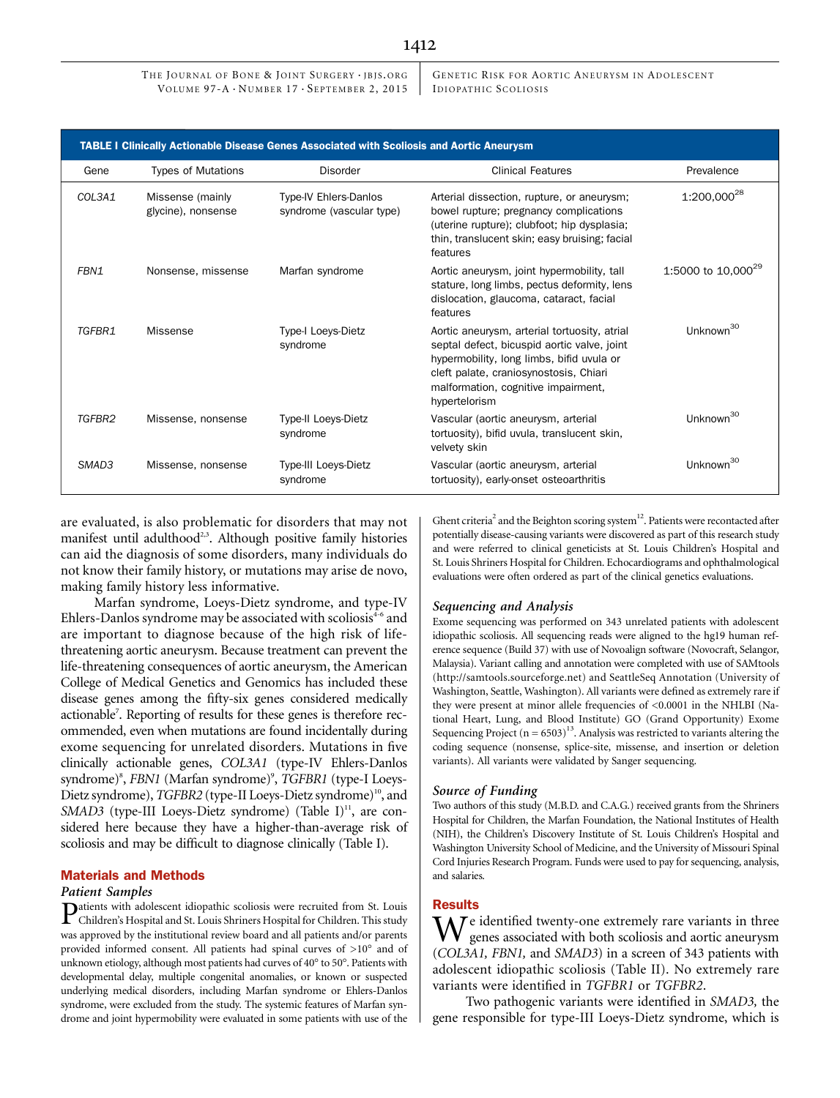# 1412

THE JOURNAL OF BONE & JOINT SURGERY · JBJS.ORG VOLUME 97-A  $\cdot$  NUMBER 17  $\cdot$  SEPTEMBER 2, 2015

GENETIC RISK FOR AORTIC ANEURYSM IN ADOLESCENT ID IOPATH IC SCOLIOSIS

| <b>TABLE I Clinically Actionable Disease Genes Associated with Scoliosis and Aortic Aneurysm</b> |                                        |                                                          |                                                                                                                                                                                                                                            |                                |  |  |
|--------------------------------------------------------------------------------------------------|----------------------------------------|----------------------------------------------------------|--------------------------------------------------------------------------------------------------------------------------------------------------------------------------------------------------------------------------------------------|--------------------------------|--|--|
| Gene                                                                                             | <b>Types of Mutations</b>              | <b>Disorder</b>                                          | <b>Clinical Features</b>                                                                                                                                                                                                                   | Prevalence                     |  |  |
| COL3A1                                                                                           | Missense (mainly<br>glycine), nonsense | <b>Type-IV Ehlers-Danlos</b><br>syndrome (vascular type) | Arterial dissection, rupture, or aneurysm;<br>bowel rupture; pregnancy complications<br>(uterine rupture); clubfoot; hip dysplasia;<br>thin, translucent skin; easy bruising; facial<br>features                                           | 1:200,000 <sup>28</sup>        |  |  |
| FBN1                                                                                             | Nonsense, missense                     | Marfan syndrome                                          | Aortic aneurysm, joint hypermobility, tall<br>stature, long limbs, pectus deformity, lens<br>dislocation, glaucoma, cataract, facial<br>features                                                                                           | 1:5000 to 10,000 <sup>29</sup> |  |  |
| TGFBR1                                                                                           | Missense                               | <b>Type-I Loeys-Dietz</b><br>syndrome                    | Aortic aneurysm, arterial tortuosity, atrial<br>septal defect, bicuspid aortic valve, joint<br>hypermobility, long limbs, bifid uvula or<br>cleft palate, craniosynostosis, Chiari<br>malformation, cognitive impairment,<br>hypertelorism | Unknown <sup>30</sup>          |  |  |
| TGFBR2                                                                                           | Missense, nonsense                     | <b>Type-II Loeys-Dietz</b><br>syndrome                   | Vascular (aortic aneurysm, arterial<br>tortuosity), bifid uvula, translucent skin,<br>velvety skin                                                                                                                                         | Unknown <sup>30</sup>          |  |  |
| SMAD <sub>3</sub>                                                                                | Missense, nonsense                     | Type-III Loeys-Dietz<br>syndrome                         | Vascular (aortic aneurysm, arterial<br>tortuosity), early-onset osteoarthritis                                                                                                                                                             | Unknown <sup>30</sup>          |  |  |

are evaluated, is also problematic for disorders that may not manifest until adulthood<sup>2,3</sup>. Although positive family histories can aid the diagnosis of some disorders, many individuals do not know their family history, or mutations may arise de novo, making family history less informative.

Marfan syndrome, Loeys-Dietz syndrome, and type-IV Ehlers-Danlos syndrome may be associated with scoliosis<sup>4-6</sup> and are important to diagnose because of the high risk of lifethreatening aortic aneurysm. Because treatment can prevent the life-threatening consequences of aortic aneurysm, the American College of Medical Genetics and Genomics has included these disease genes among the fifty-six genes considered medically actionable<sup>7</sup>. Reporting of results for these genes is therefore recommended, even when mutations are found incidentally during exome sequencing for unrelated disorders. Mutations in five clinically actionable genes, COL3A1 (type-IV Ehlers-Danlos syndrome)<sup>8</sup>, FBN1 (Marfan syndrome)<sup>9</sup>, TGFBR1 (type-I Loeys-Dietz syndrome), TGFBR2 (type-II Loeys-Dietz syndrome)<sup>10</sup>, and SMAD3 (type-III Loeys-Dietz syndrome) (Table I) $^{11}$ , are considered here because they have a higher-than-average risk of scoliosis and may be difficult to diagnose clinically (Table I).

## Materials and Methods

#### Patient Samples

Patients with adolescent idiopathic scoliosis were recruited from St. Louis Children's Hospital and St. Louis Shriners Hospital for Children. This study was approved by the institutional review board and all patients and/or parents provided informed consent. All patients had spinal curves of  $>10^{\circ}$  and of unknown etiology, although most patients had curves of  $40^{\circ}$  to  $50^{\circ}$ . Patients with developmental delay, multiple congenital anomalies, or known or suspected underlying medical disorders, including Marfan syndrome or Ehlers-Danlos syndrome, were excluded from the study. The systemic features of Marfan syndrome and joint hypermobility were evaluated in some patients with use of the

Ghent criteria<sup>2</sup> and the Beighton scoring system<sup>12</sup>. Patients were recontacted after potentially disease-causing variants were discovered as part of this research study and were referred to clinical geneticists at St. Louis Children's Hospital and St. Louis Shriners Hospital for Children. Echocardiograms and ophthalmological evaluations were often ordered as part of the clinical genetics evaluations.

#### Sequencing and Analysis

Exome sequencing was performed on 343 unrelated patients with adolescent idiopathic scoliosis. All sequencing reads were aligned to the hg19 human reference sequence (Build 37) with use of Novoalign software (Novocraft, Selangor, Malaysia). Variant calling and annotation were completed with use of SAMtools [\(http://samtools.sourceforge.net\)](http://samtools.sourceforge.net) and SeattleSeq Annotation (University of Washington, Seattle, Washington). All variants were defined as extremely rare if they were present at minor allele frequencies of <0.0001 in the NHLBI (National Heart, Lung, and Blood Institute) GO (Grand Opportunity) Exome Sequencing Project ( $n = 6503$ )<sup>13</sup>. Analysis was restricted to variants altering the coding sequence (nonsense, splice-site, missense, and insertion or deletion variants). All variants were validated by Sanger sequencing.

# Source of Funding

Two authors of this study (M.B.D. and C.A.G.) received grants from the Shriners Hospital for Children, the Marfan Foundation, the National Institutes of Health (NIH), the Children's Discovery Institute of St. Louis Children's Hospital and Washington University School of Medicine, and the University of Missouri Spinal Cord Injuries Research Program. Funds were used to pay for sequencing, analysis, and salaries.

## Results

 $\Lambda$   $\bar{I}$  e identified twenty-one extremely rare variants in three genes associated with both scoliosis and aortic aneurysm (COL3A1, FBN1, and SMAD3) in a screen of 343 patients with adolescent idiopathic scoliosis (Table II). No extremely rare variants were identified in TGFBR1 or TGFBR2.

Two pathogenic variants were identified in SMAD3, the gene responsible for type-III Loeys-Dietz syndrome, which is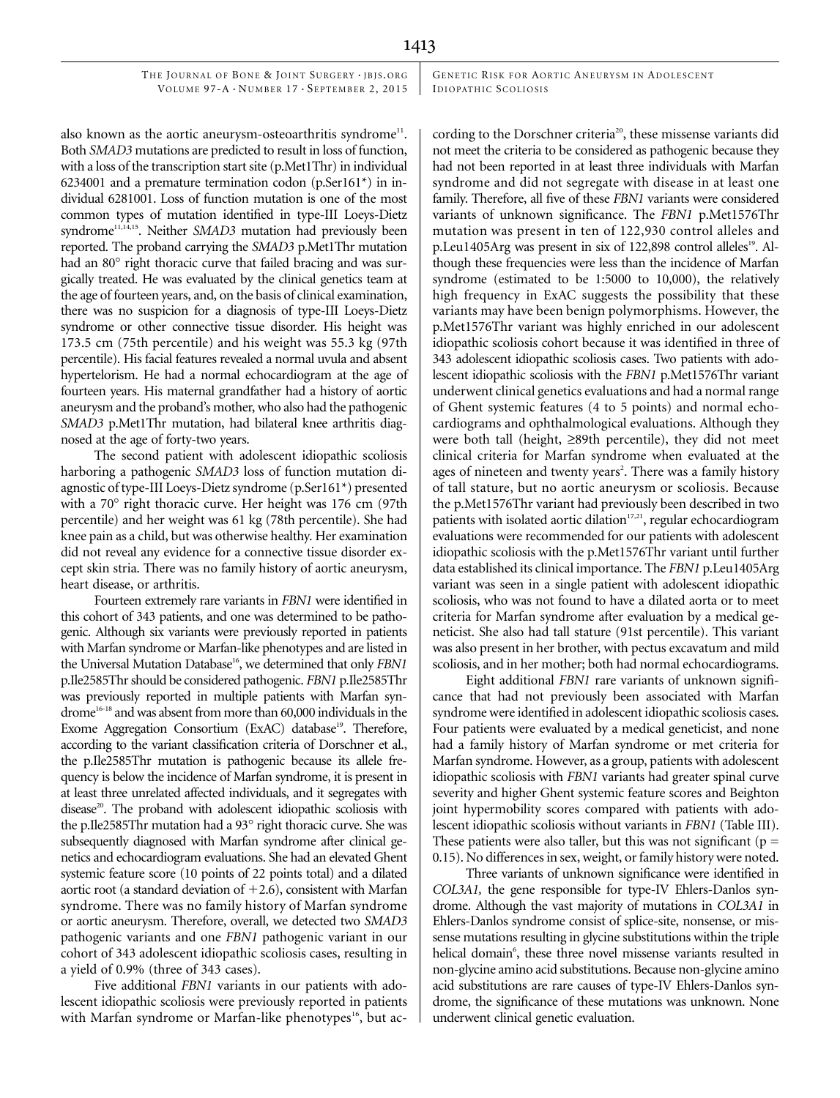GENETIC RISK FOR AORTIC ANEURYSM IN ADOLESCENT IDIOPATHIC SCOLIOSIS

also known as the aortic aneurysm-osteoarthritis syndrome<sup>11</sup>. Both SMAD3 mutations are predicted to result in loss of function, with a loss of the transcription start site (p.Met1Thr) in individual 6234001 and a premature termination codon (p.Ser161 $*$ ) in individual 6281001. Loss of function mutation is one of the most common types of mutation identified in type-III Loeys-Dietz syndrome<sup>11,14,15</sup>. Neither SMAD3 mutation had previously been reported. The proband carrying the SMAD3 p.Met1Thr mutation had an 80° right thoracic curve that failed bracing and was surgically treated. He was evaluated by the clinical genetics team at the age of fourteen years, and, on the basis of clinical examination, there was no suspicion for a diagnosis of type-III Loeys-Dietz syndrome or other connective tissue disorder. His height was 173.5 cm (75th percentile) and his weight was 55.3 kg (97th percentile). His facial features revealed a normal uvula and absent hypertelorism. He had a normal echocardiogram at the age of fourteen years. His maternal grandfather had a history of aortic aneurysm and the proband's mother, who also had the pathogenic SMAD3 p.Met1Thr mutation, had bilateral knee arthritis diagnosed at the age of forty-two years.

The second patient with adolescent idiopathic scoliosis harboring a pathogenic SMAD3 loss of function mutation diagnostic of type-III Loeys-Dietz syndrome (p.Ser161\*) presented with a 70° right thoracic curve. Her height was 176 cm (97th percentile) and her weight was 61 kg (78th percentile). She had knee pain as a child, but was otherwise healthy. Her examination did not reveal any evidence for a connective tissue disorder except skin stria. There was no family history of aortic aneurysm, heart disease, or arthritis.

Fourteen extremely rare variants in FBN1 were identified in this cohort of 343 patients, and one was determined to be pathogenic. Although six variants were previously reported in patients with Marfan syndrome or Marfan-like phenotypes and are listed in the Universal Mutation Database<sup>16</sup>, we determined that only FBN1 p.Ile2585Thr should be considered pathogenic. FBN1 p.Ile2585Thr was previously reported in multiple patients with Marfan syndrome<sup>16-18</sup> and was absent from more than 60,000 individuals in the Exome Aggregation Consortium (ExAC) database<sup>19</sup>. Therefore, according to the variant classification criteria of Dorschner et al., the p.Ile2585Thr mutation is pathogenic because its allele frequency is below the incidence of Marfan syndrome, it is present in at least three unrelated affected individuals, and it segregates with disease<sup>20</sup>. The proband with adolescent idiopathic scoliosis with the p.Ile2585Thr mutation had a 93° right thoracic curve. She was subsequently diagnosed with Marfan syndrome after clinical genetics and echocardiogram evaluations. She had an elevated Ghent systemic feature score (10 points of 22 points total) and a dilated aortic root (a standard deviation of  $+2.6$ ), consistent with Marfan syndrome. There was no family history of Marfan syndrome or aortic aneurysm. Therefore, overall, we detected two SMAD3 pathogenic variants and one FBN1 pathogenic variant in our cohort of 343 adolescent idiopathic scoliosis cases, resulting in a yield of 0.9% (three of 343 cases).

Five additional FBN1 variants in our patients with adolescent idiopathic scoliosis were previously reported in patients with Marfan syndrome or Marfan-like phenotypes<sup>16</sup>, but according to the Dorschner criteria<sup>20</sup>, these missense variants did not meet the criteria to be considered as pathogenic because they had not been reported in at least three individuals with Marfan syndrome and did not segregate with disease in at least one family. Therefore, all five of these FBN1 variants were considered variants of unknown significance. The FBN1 p.Met1576Thr mutation was present in ten of 122,930 control alleles and p.Leu1405Arg was present in six of 122,898 control alleles<sup>19</sup>. Although these frequencies were less than the incidence of Marfan syndrome (estimated to be 1:5000 to 10,000), the relatively high frequency in ExAC suggests the possibility that these variants may have been benign polymorphisms. However, the p.Met1576Thr variant was highly enriched in our adolescent idiopathic scoliosis cohort because it was identified in three of 343 adolescent idiopathic scoliosis cases. Two patients with adolescent idiopathic scoliosis with the FBN1 p.Met1576Thr variant underwent clinical genetics evaluations and had a normal range of Ghent systemic features (4 to 5 points) and normal echocardiograms and ophthalmological evaluations. Although they were both tall (height,  $\geq$ 89th percentile), they did not meet clinical criteria for Marfan syndrome when evaluated at the ages of nineteen and twenty years<sup>2</sup>. There was a family history of tall stature, but no aortic aneurysm or scoliosis. Because the p.Met1576Thr variant had previously been described in two patients with isolated aortic dilation<sup>17,21</sup>, regular echocardiogram evaluations were recommended for our patients with adolescent idiopathic scoliosis with the p.Met1576Thr variant until further data established its clinical importance. The FBN1 p.Leu1405Arg variant was seen in a single patient with adolescent idiopathic scoliosis, who was not found to have a dilated aorta or to meet criteria for Marfan syndrome after evaluation by a medical geneticist. She also had tall stature (91st percentile). This variant was also present in her brother, with pectus excavatum and mild scoliosis, and in her mother; both had normal echocardiograms.

Eight additional FBN1 rare variants of unknown significance that had not previously been associated with Marfan syndrome were identified in adolescent idiopathic scoliosis cases. Four patients were evaluated by a medical geneticist, and none had a family history of Marfan syndrome or met criteria for Marfan syndrome. However, as a group, patients with adolescent idiopathic scoliosis with FBN1 variants had greater spinal curve severity and higher Ghent systemic feature scores and Beighton joint hypermobility scores compared with patients with adolescent idiopathic scoliosis without variants in FBN1 (Table III). These patients were also taller, but this was not significant ( $p =$ 0.15). No differences in sex, weight, or family history were noted.

Three variants of unknown significance were identified in COL3A1, the gene responsible for type-IV Ehlers-Danlos syndrome. Although the vast majority of mutations in COL3A1 in Ehlers-Danlos syndrome consist of splice-site, nonsense, or missense mutations resulting in glycine substitutions within the triple helical domain<sup>6</sup>, these three novel missense variants resulted in non-glycine amino acid substitutions. Because non-glycine amino acid substitutions are rare causes of type-IV Ehlers-Danlos syndrome, the significance of these mutations was unknown. None underwent clinical genetic evaluation.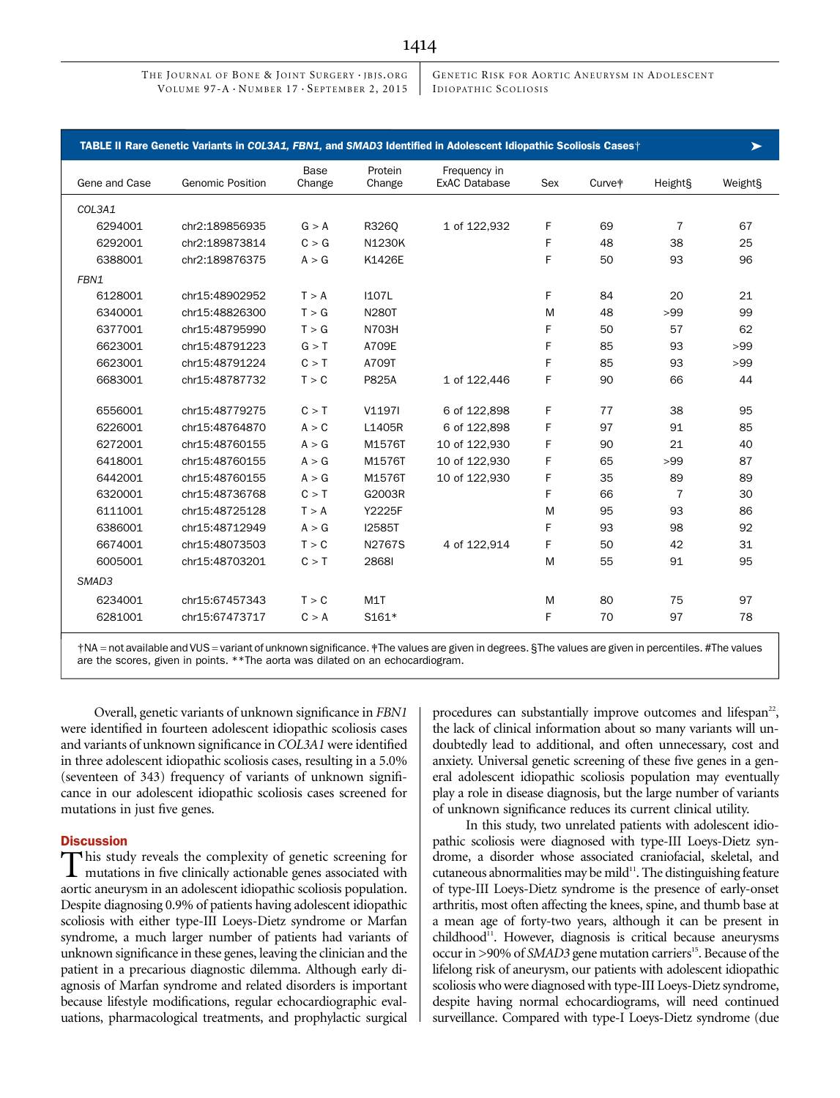GENETIC RISK FOR AORTIC ANEURYSM IN ADOLESCENT ID IOPATH IC SCOLIOSIS

|               | TABLE II Rare Genetic Variants in COL3A1, FBN1, and SMAD3 Identified in Adolescent Idiopathic Scoliosis Cases† |                |                   |                                      |     |                    |                | ➤       |
|---------------|----------------------------------------------------------------------------------------------------------------|----------------|-------------------|--------------------------------------|-----|--------------------|----------------|---------|
| Gene and Case | <b>Genomic Position</b>                                                                                        | Base<br>Change | Protein<br>Change | Frequency in<br><b>ExAC Database</b> | Sex | Curve <sup>#</sup> | Height§        | Weight§ |
| COL3A1        |                                                                                                                |                |                   |                                      |     |                    |                |         |
| 6294001       | chr2:189856935                                                                                                 | G > A          | R3260             | 1 of 122,932                         | F   | 69                 | $\overline{7}$ | 67      |
| 6292001       | chr2:189873814                                                                                                 | C > G          | <b>N1230K</b>     |                                      | F   | 48                 | 38             | 25      |
| 6388001       | chr2:189876375                                                                                                 | A > G          | K1426E            |                                      | F   | 50                 | 93             | 96      |
| FBN1          |                                                                                                                |                |                   |                                      |     |                    |                |         |
| 6128001       | chr15:48902952                                                                                                 | T > A          | <b>I107L</b>      |                                      | F.  | 84                 | 20             | 21      |
| 6340001       | chr15:48826300                                                                                                 | T > G          | <b>N280T</b>      |                                      | M   | 48                 | >99            | 99      |
| 6377001       | chr15:48795990                                                                                                 | T > G          | <b>N703H</b>      |                                      | F   | 50                 | 57             | 62      |
| 6623001       | chr15:48791223                                                                                                 | G > T          | A709E             |                                      | F   | 85                 | 93             | >99     |
| 6623001       | chr15:48791224                                                                                                 | C > T          | A709T             |                                      | F   | 85                 | 93             | >99     |
| 6683001       | chr15:48787732                                                                                                 | T > C          | P825A             | 1 of 122,446                         | F   | 90                 | 66             | 44      |
| 6556001       | chr15:48779275                                                                                                 | C > T          | V1197I            | 6 of 122,898                         | F   | 77                 | 38             | 95      |
| 6226001       | chr15:48764870                                                                                                 | A > C          | L1405R            | 6 of 122,898                         | F   | 97                 | 91             | 85      |
| 6272001       | chr15:48760155                                                                                                 | A > G          | M1576T            | 10 of 122,930                        | F   | 90                 | 21             | 40      |
| 6418001       | chr15:48760155                                                                                                 | A > G          | M1576T            | 10 of 122,930                        | F   | 65                 | >99            | 87      |
| 6442001       | chr15:48760155                                                                                                 | A > G          | M1576T            | 10 of 122,930                        | F   | 35                 | 89             | 89      |
| 6320001       | chr15:48736768                                                                                                 | C > T          | G2003R            |                                      | F   | 66                 | 7              | 30      |
| 6111001       | chr15:48725128                                                                                                 | T > A          | Y2225F            |                                      | M   | 95                 | 93             | 86      |
| 6386001       | chr15:48712949                                                                                                 | A > G          | <b>I2585T</b>     |                                      | F   | 93                 | 98             | 92      |
| 6674001       | chr15:48073503                                                                                                 | T > C          | N2767S            | 4 of 122,914                         | F   | 50                 | 42             | 31      |
| 6005001       | chr15:48703201                                                                                                 | C > T          | 28681             |                                      | M   | 55                 | 91             | 95      |
| SMAD3         |                                                                                                                |                |                   |                                      |     |                    |                |         |
| 6234001       | chr15:67457343                                                                                                 | T > C          | M <sub>1</sub> T  |                                      | M   | 80                 | 75             | 97      |
| 6281001       | chr15:67473717                                                                                                 | C > A          | S161*             |                                      | F   | 70                 | 97             | 78      |

†NA = not available and VUS = variant of unknown significance. ‡The values are given in degrees. §The values are given in percentiles. #The values are the scores, given in points. \*\*The aorta was dilated on an echocardiogram.

Overall, genetic variants of unknown significance in FBN1 were identified in fourteen adolescent idiopathic scoliosis cases and variants of unknown significance in COL3A1 were identified in three adolescent idiopathic scoliosis cases, resulting in a 5.0% (seventeen of 343) frequency of variants of unknown significance in our adolescent idiopathic scoliosis cases screened for mutations in just five genes.

#### **Discussion**

This study reveals the complexity of genetic screening for mutations in five clinically actionable genes associated with aortic aneurysm in an adolescent idiopathic scoliosis population. Despite diagnosing 0.9% of patients having adolescent idiopathic scoliosis with either type-III Loeys-Dietz syndrome or Marfan syndrome, a much larger number of patients had variants of unknown significance in these genes, leaving the clinician and the patient in a precarious diagnostic dilemma. Although early diagnosis of Marfan syndrome and related disorders is important because lifestyle modifications, regular echocardiographic evaluations, pharmacological treatments, and prophylactic surgical procedures can substantially improve outcomes and lifespan<sup>22</sup>, the lack of clinical information about so many variants will undoubtedly lead to additional, and often unnecessary, cost and anxiety. Universal genetic screening of these five genes in a general adolescent idiopathic scoliosis population may eventually play a role in disease diagnosis, but the large number of variants of unknown significance reduces its current clinical utility.

In this study, two unrelated patients with adolescent idiopathic scoliosis were diagnosed with type-III Loeys-Dietz syndrome, a disorder whose associated craniofacial, skeletal, and cutaneous abnormalities may be mild $11$ . The distinguishing feature of type-III Loeys-Dietz syndrome is the presence of early-onset arthritis, most often affecting the knees, spine, and thumb base at a mean age of forty-two years, although it can be present in childhood<sup>11</sup>. However, diagnosis is critical because aneurysms occur in >90% of SMAD3 gene mutation carriers<sup>15</sup>. Because of the lifelong risk of aneurysm, our patients with adolescent idiopathic scoliosis who were diagnosed with type-III Loeys-Dietz syndrome, despite having normal echocardiograms, will need continued surveillance. Compared with type-I Loeys-Dietz syndrome (due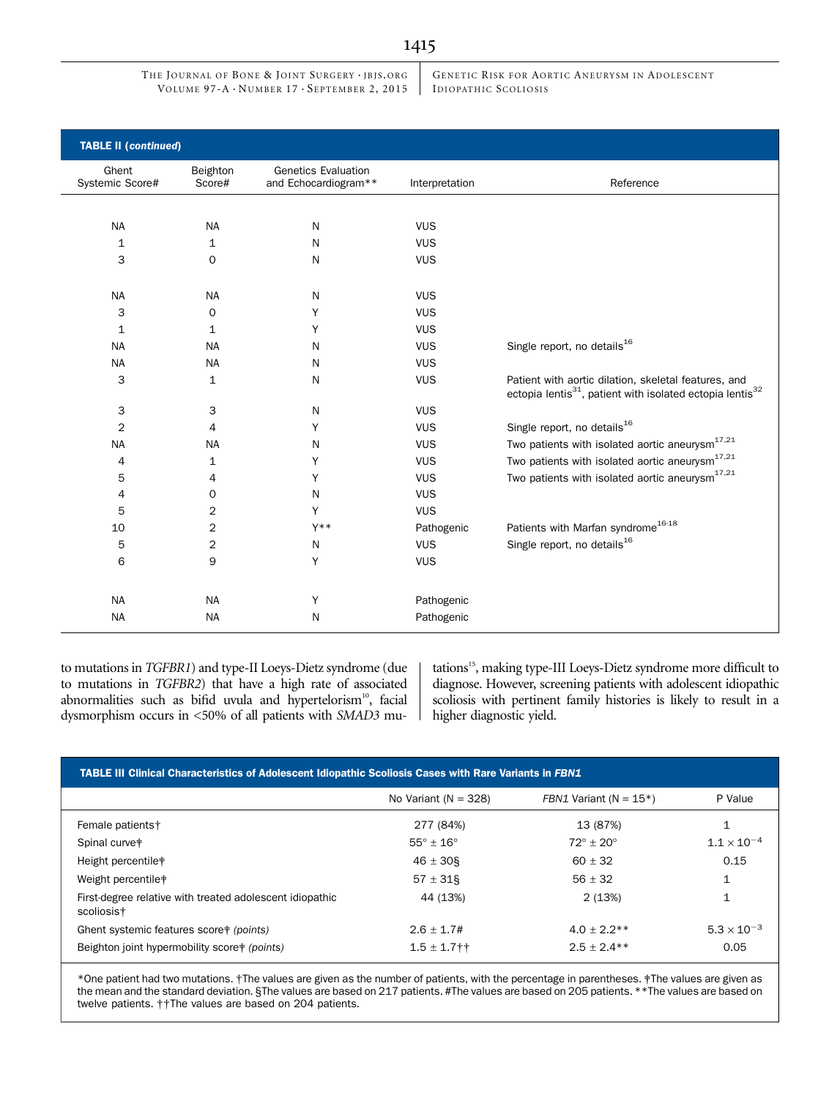GENETIC RISK FOR AORTIC ANEURYSM IN ADOLESCENT IDIOPATHIC SCOLIOSIS

| <b>TABLE II (continued)</b> |                    |                                                    |                |                                                                                                                                           |
|-----------------------------|--------------------|----------------------------------------------------|----------------|-------------------------------------------------------------------------------------------------------------------------------------------|
| Ghent<br>Systemic Score#    | Beighton<br>Score# | <b>Genetics Evaluation</b><br>and Echocardiogram** | Interpretation | Reference                                                                                                                                 |
|                             |                    |                                                    |                |                                                                                                                                           |
| <b>NA</b>                   | <b>NA</b>          | N                                                  | <b>VUS</b>     |                                                                                                                                           |
| 1                           | 1                  | N                                                  | <b>VUS</b>     |                                                                                                                                           |
| 3                           | 0                  | N                                                  | <b>VUS</b>     |                                                                                                                                           |
|                             |                    |                                                    |                |                                                                                                                                           |
| <b>NA</b>                   | <b>NA</b>          | N                                                  | <b>VUS</b>     |                                                                                                                                           |
| 3                           | 0                  | Y                                                  | <b>VUS</b>     |                                                                                                                                           |
| $\mathbf{1}$                | $\mathbf{1}$       | Y                                                  | <b>VUS</b>     |                                                                                                                                           |
| <b>NA</b>                   | <b>NA</b>          | N                                                  | <b>VUS</b>     | Single report, no details <sup>16</sup>                                                                                                   |
| <b>NA</b>                   | <b>NA</b>          | N                                                  | <b>VUS</b>     |                                                                                                                                           |
| 3                           | $\mathbf{1}$       | N                                                  | <b>VUS</b>     | Patient with aortic dilation, skeletal features, and<br>ectopia lentis <sup>31</sup> , patient with isolated ectopia lentis <sup>32</sup> |
| 3                           | 3                  | N                                                  | <b>VUS</b>     |                                                                                                                                           |
| $\overline{2}$              | 4                  | Y                                                  | <b>VUS</b>     | Single report, no details <sup>16</sup>                                                                                                   |
| <b>NA</b>                   | <b>NA</b>          | N                                                  | <b>VUS</b>     | Two patients with isolated aortic aneurysm <sup>17,21</sup>                                                                               |
| 4                           | 1                  | Y                                                  | <b>VUS</b>     | Two patients with isolated aortic aneurysm <sup>17,21</sup>                                                                               |
| 5                           | 4                  | Υ                                                  | <b>VUS</b>     | Two patients with isolated aortic aneurysm <sup>17,21</sup>                                                                               |
| 4                           | 0                  | N                                                  | <b>VUS</b>     |                                                                                                                                           |
| 5                           | $\overline{2}$     | Y                                                  | <b>VUS</b>     |                                                                                                                                           |
| 10                          | $\overline{c}$     | $Y^**$                                             | Pathogenic     | Patients with Marfan syndrome <sup>16-18</sup>                                                                                            |
| 5                           | $\overline{c}$     | N                                                  | <b>VUS</b>     | Single report, no details <sup>16</sup>                                                                                                   |
| 6                           | 9                  | Y                                                  | <b>VUS</b>     |                                                                                                                                           |
|                             |                    |                                                    |                |                                                                                                                                           |
| <b>NA</b>                   | <b>NA</b>          | Υ                                                  | Pathogenic     |                                                                                                                                           |
| <b>NA</b>                   | <b>NA</b>          | N                                                  | Pathogenic     |                                                                                                                                           |

to mutations in TGFBR1) and type-II Loeys-Dietz syndrome (due to mutations in TGFBR2) that have a high rate of associated abnormalities such as bifid uvula and hypertelorism<sup>10</sup>, facial dysmorphism occurs in <50% of all patients with SMAD3 mu-

tations<sup>15</sup>, making type-III Loeys-Dietz syndrome more difficult to diagnose. However, screening patients with adolescent idiopathic scoliosis with pertinent family histories is likely to result in a higher diagnostic yield.

| TABLE III Clinical Characteristics of Adolescent Idiopathic Scoliosis Cases with Rare Variants in FBN1 |                          |                              |                      |  |  |  |  |
|--------------------------------------------------------------------------------------------------------|--------------------------|------------------------------|----------------------|--|--|--|--|
|                                                                                                        | No Variant ( $N = 328$ ) | FBN1 Variant ( $N = 15$ *)   | P Value              |  |  |  |  |
| Female patients†                                                                                       | 277 (84%)                | 13 (87%)                     |                      |  |  |  |  |
| Spinal curve <sup>#</sup>                                                                              | $55^\circ + 16^\circ$    | $72^{\circ}$ + 20 $^{\circ}$ | $1.1 \times 10^{-4}$ |  |  |  |  |
| Height percentile*                                                                                     | $46 \pm 30$              | $60 + 32$                    | 0.15                 |  |  |  |  |
| Weight percentile <sup>†</sup>                                                                         | $57 \pm 31$ §            | $56 \pm 32$                  |                      |  |  |  |  |
| First-degree relative with treated adolescent idiopathic<br>scoliosis <sup>+</sup>                     | 44 (13%)                 | 2(13%)                       |                      |  |  |  |  |
| Ghent systemic features score+ (points)                                                                | $2.6 + 1.7#$             | $4.0 + 2.2**$                | $5.3 \times 10^{-3}$ |  |  |  |  |
| Beighton joint hypermobility score+ (points)                                                           | $1.5 \pm 1.7$ † †        | $2.5 + 2.4**$                | 0.05                 |  |  |  |  |

\*One patient had two mutations. †The values are given as the number of patients, with the percentage in parentheses. ‡The values are given as the mean and the standard deviation. §The values are based on 217 patients. #The values are based on 205 patients. \*\*The values are based on twelve patients. ††The values are based on 204 patients.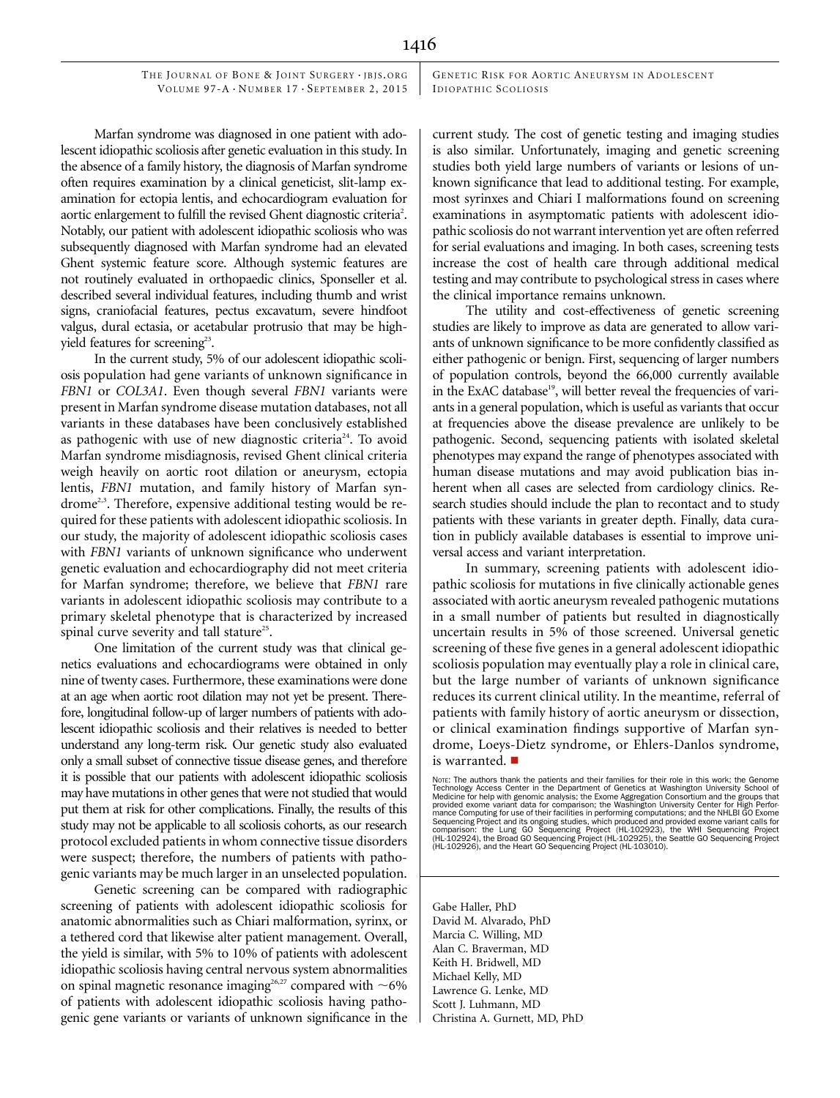GENETIC RISK FOR AORTIC ANEURYSM IN ADOLESCENT IDIOPATHIC SCOLIOSIS

Marfan syndrome was diagnosed in one patient with adolescent idiopathic scoliosis after genetic evaluation in this study. In the absence of a family history, the diagnosis of Marfan syndrome often requires examination by a clinical geneticist, slit-lamp examination for ectopia lentis, and echocardiogram evaluation for aortic enlargement to fulfill the revised Ghent diagnostic criteria<sup>2</sup>. Notably, our patient with adolescent idiopathic scoliosis who was subsequently diagnosed with Marfan syndrome had an elevated Ghent systemic feature score. Although systemic features are not routinely evaluated in orthopaedic clinics, Sponseller et al. described several individual features, including thumb and wrist signs, craniofacial features, pectus excavatum, severe hindfoot valgus, dural ectasia, or acetabular protrusio that may be highyield features for screening<sup>23</sup>.

In the current study, 5% of our adolescent idiopathic scoliosis population had gene variants of unknown significance in FBN1 or COL3A1. Even though several FBN1 variants were present in Marfan syndrome disease mutation databases, not all variants in these databases have been conclusively established as pathogenic with use of new diagnostic criteria<sup>24</sup>. To avoid Marfan syndrome misdiagnosis, revised Ghent clinical criteria weigh heavily on aortic root dilation or aneurysm, ectopia lentis, FBN1 mutation, and family history of Marfan syn $d$ rome<sup>2,3</sup>. Therefore, expensive additional testing would be required for these patients with adolescent idiopathic scoliosis. In our study, the majority of adolescent idiopathic scoliosis cases with *FBN1* variants of unknown significance who underwent genetic evaluation and echocardiography did not meet criteria for Marfan syndrome; therefore, we believe that FBN1 rare variants in adolescent idiopathic scoliosis may contribute to a primary skeletal phenotype that is characterized by increased spinal curve severity and tall stature<sup>25</sup>.

One limitation of the current study was that clinical genetics evaluations and echocardiograms were obtained in only nine of twenty cases. Furthermore, these examinations were done at an age when aortic root dilation may not yet be present. Therefore, longitudinal follow-up of larger numbers of patients with adolescent idiopathic scoliosis and their relatives is needed to better understand any long-term risk. Our genetic study also evaluated only a small subset of connective tissue disease genes, and therefore it is possible that our patients with adolescent idiopathic scoliosis may have mutations in other genes that were not studied that would put them at risk for other complications. Finally, the results of this study may not be applicable to all scoliosis cohorts, as our research protocol excluded patients in whom connective tissue disorders were suspect; therefore, the numbers of patients with pathogenic variants may be much larger in an unselected population.

Genetic screening can be compared with radiographic screening of patients with adolescent idiopathic scoliosis for anatomic abnormalities such as Chiari malformation, syrinx, or a tethered cord that likewise alter patient management. Overall, the yield is similar, with 5% to 10% of patients with adolescent idiopathic scoliosis having central nervous system abnormalities on spinal magnetic resonance imaging<sup>26,27</sup> compared with  $\sim$  6% of patients with adolescent idiopathic scoliosis having pathogenic gene variants or variants of unknown significance in the

current study. The cost of genetic testing and imaging studies is also similar. Unfortunately, imaging and genetic screening studies both yield large numbers of variants or lesions of unknown significance that lead to additional testing. For example, most syrinxes and Chiari I malformations found on screening examinations in asymptomatic patients with adolescent idiopathic scoliosis do not warrant intervention yet are often referred for serial evaluations and imaging. In both cases, screening tests increase the cost of health care through additional medical testing and may contribute to psychological stress in cases where the clinical importance remains unknown.

The utility and cost-effectiveness of genetic screening studies are likely to improve as data are generated to allow variants of unknown significance to be more confidently classified as either pathogenic or benign. First, sequencing of larger numbers of population controls, beyond the 66,000 currently available in the ExAC database<sup>19</sup>, will better reveal the frequencies of variants in a general population, which is useful as variants that occur at frequencies above the disease prevalence are unlikely to be pathogenic. Second, sequencing patients with isolated skeletal phenotypes may expand the range of phenotypes associated with human disease mutations and may avoid publication bias inherent when all cases are selected from cardiology clinics. Research studies should include the plan to recontact and to study patients with these variants in greater depth. Finally, data curation in publicly available databases is essential to improve universal access and variant interpretation.

In summary, screening patients with adolescent idiopathic scoliosis for mutations in five clinically actionable genes associated with aortic aneurysm revealed pathogenic mutations in a small number of patients but resulted in diagnostically uncertain results in 5% of those screened. Universal genetic screening of these five genes in a general adolescent idiopathic scoliosis population may eventually play a role in clinical care, but the large number of variants of unknown significance reduces its current clinical utility. In the meantime, referral of patients with family history of aortic aneurysm or dissection, or clinical examination findings supportive of Marfan syndrome, Loeys-Dietz syndrome, or Ehlers-Danlos syndrome, is warranted.  $\blacksquare$ 

Gabe Haller, PhD David M. Alvarado, PhD Marcia C. Willing, MD Alan C. Braverman, MD Keith H. Bridwell, MD Michael Kelly, MD Lawrence G. Lenke, MD Scott J. Luhmann, MD Christina A. Gurnett, MD, PhD

Nore: The authors thank the patients and their families for their role in this work; the Genometry Technology Access Center in the Department of Genetics at Washington University School of Medicine for help with genomic an Sequencing Project and its ongoing studies, which produced and provided exome variant calls for<br>comparison: the Lung GO Sequencing Project (HL-102925), the WHI Sequencing Project<br>(HL-102924), the Broad GO Sequencing Projec